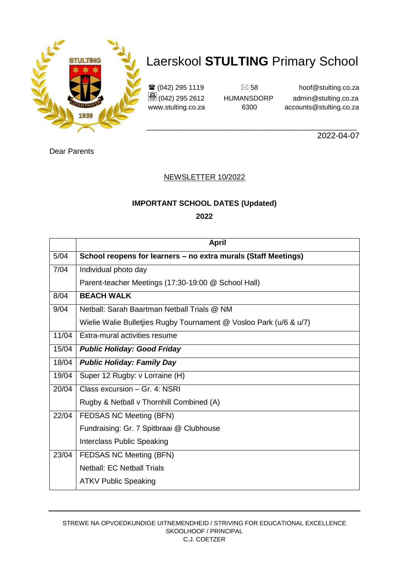

 $\mathbf{\hat{\mathbf{x}}}$  (042) 295 1119  $\Box$  58 hoof@stulting.co.za (042) 295 2612 HUMANSDORP admin@stulting.co.za www.stulting.co.za 6300 accounts@stulting.co.za

**\_\_\_\_\_\_\_\_\_\_\_\_\_\_\_\_\_\_\_\_\_\_\_\_\_\_\_\_\_\_\_\_\_\_\_\_\_\_\_\_\_\_\_\_\_\_\_\_\_\_\_\_\_\_\_\_\_\_\_\_\_\_\_\_\_\_\_\_\_\_\_\_\_\_\_\_\_\_\_\_\_\_\_\_\_\_\_\_** 2022-04-07

Dear Parents

#### NEWSLETTER 10/2022

#### **IMPORTANT SCHOOL DATES (Updated)**

**2022**

|       | <b>April</b>                                                       |
|-------|--------------------------------------------------------------------|
| 5/04  | School reopens for learners - no extra murals (Staff Meetings)     |
| 7/04  | Individual photo day                                               |
|       | Parent-teacher Meetings (17:30-19:00 @ School Hall)                |
| 8/04  | <b>BEACH WALK</b>                                                  |
| 9/04  | Netball: Sarah Baartman Netball Trials @ NM                        |
|       | Wielie Walie Bulletjies Rugby Tournament @ Vosloo Park (u/6 & u/7) |
| 11/04 | Extra-mural activities resume                                      |
| 15/04 | <b>Public Holiday: Good Friday</b>                                 |
| 18/04 | <b>Public Holiday: Family Day</b>                                  |
| 19/04 | Super 12 Rugby: v Lorraine (H)                                     |
| 20/04 | Class excursion - Gr. 4: NSRI                                      |
|       | Rugby & Netball v Thornhill Combined (A)                           |
| 22/04 | FEDSAS NC Meeting (BFN)                                            |
|       | Fundraising: Gr. 7 Spitbraai @ Clubhouse                           |
|       | <b>Interclass Public Speaking</b>                                  |
| 23/04 | FEDSAS NC Meeting (BFN)                                            |
|       | <b>Netball: EC Netball Trials</b>                                  |
|       | <b>ATKV Public Speaking</b>                                        |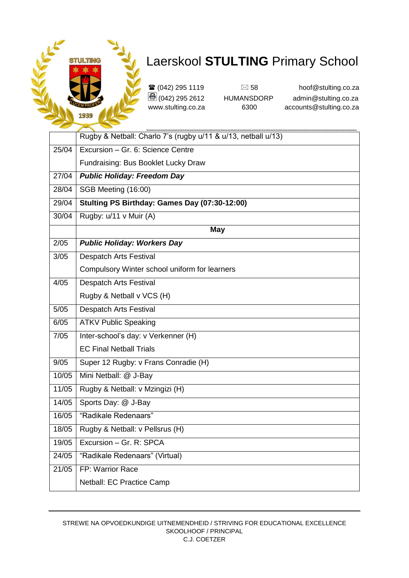

**\_\_\_\_\_\_\_\_\_\_\_\_\_\_\_\_\_\_\_\_\_\_\_\_\_\_\_\_\_\_\_\_\_\_\_\_\_\_\_\_\_\_\_\_\_\_\_\_\_\_\_\_\_\_\_\_\_\_\_\_\_\_\_\_\_\_\_\_\_\_\_\_\_\_\_\_\_\_\_\_\_\_\_\_\_\_\_\_**

|                    | Rugby & Netball: Charlo 7's (rugby u/11 & u/13, netball u/13) |
|--------------------|---------------------------------------------------------------|
| 25/04              | Excursion - Gr. 6: Science Centre                             |
|                    | Fundraising: Bus Booklet Lucky Draw                           |
| 27/04              | <b>Public Holiday: Freedom Day</b>                            |
| 28/04              | SGB Meeting (16:00)                                           |
| 29/04              | Stulting PS Birthday: Games Day (07:30-12:00)                 |
| 30/04              | Rugby: u/11 v Muir (A)                                        |
|                    | <b>May</b>                                                    |
| 2/05               | <b>Public Holiday: Workers Day</b>                            |
| 3/05               | <b>Despatch Arts Festival</b>                                 |
|                    | Compulsory Winter school uniform for learners                 |
| 4/05               | <b>Despatch Arts Festival</b>                                 |
|                    | Rugby & Netball v VCS (H)                                     |
| 5/05               | <b>Despatch Arts Festival</b>                                 |
| 6/05               | <b>ATKV Public Speaking</b>                                   |
| 7/05               | Inter-school's day: v Verkenner (H)                           |
|                    | <b>EC Final Netball Trials</b>                                |
| 9/05               | Super 12 Rugby: v Frans Conradie (H)                          |
| 10/05              | Mini Netball: @ J-Bay                                         |
| 11/05              | Rugby & Netball: v Mzingizi (H)                               |
| 14/05              | Sports Day: @ J-Bay                                           |
| 16/05              | "Radikale Redenaars"                                          |
| 18/05              | Rugby & Netball: v Pellsrus (H)                               |
| 19/05              | Excursion - Gr. R: SPCA                                       |
| 24/05              | "Radikale Redenaars" (Virtual)                                |
| $\overline{21/05}$ | FP: Warrior Race                                              |
|                    | Netball: EC Practice Camp                                     |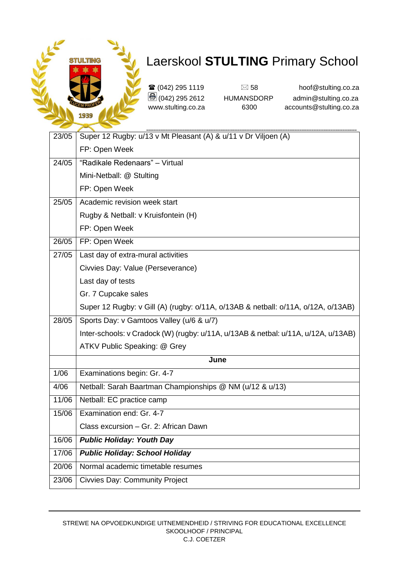

| 23/05 | Super 12 Rugby: u/13 v Mt Pleasant (A) & u/11 v Dr Viljoen (A)                     |
|-------|------------------------------------------------------------------------------------|
|       | FP: Open Week                                                                      |
| 24/05 | "Radikale Redenaars" - Virtual                                                     |
|       | Mini-Netball: @ Stulting                                                           |
|       | FP: Open Week                                                                      |
| 25/05 | Academic revision week start                                                       |
|       | Rugby & Netball: v Kruisfontein (H)                                                |
|       | FP: Open Week                                                                      |
| 26/05 | FP: Open Week                                                                      |
| 27/05 | Last day of extra-mural activities                                                 |
|       | Civvies Day: Value (Perseverance)                                                  |
|       | Last day of tests                                                                  |
|       | Gr. 7 Cupcake sales                                                                |
|       | Super 12 Rugby: v Gill (A) (rugby: o/11A, o/13AB & netball: o/11A, o/12A, o/13AB)  |
| 28/05 | Sports Day: v Gamtoos Valley (u/6 & u/7)                                           |
|       | Inter-schools: v Cradock (W) (rugby: u/11A, u/13AB & netbal: u/11A, u/12A, u/13AB) |
|       | ATKV Public Speaking: @ Grey                                                       |
|       | June                                                                               |
| 1/06  | Examinations begin: Gr. 4-7                                                        |
| 4/06  | Netball: Sarah Baartman Championships @ NM (u/12 & u/13)                           |
| 11/06 | Netball: EC practice camp                                                          |
| 15/06 | Examination end: Gr. 4-7                                                           |
|       | Class excursion - Gr. 2: African Dawn                                              |
| 16/06 | <b>Public Holiday: Youth Day</b>                                                   |
| 17/06 | <b>Public Holiday: School Holiday</b>                                              |
| 20/06 | Normal academic timetable resumes                                                  |
| 23/06 | <b>Civvies Day: Community Project</b>                                              |
|       |                                                                                    |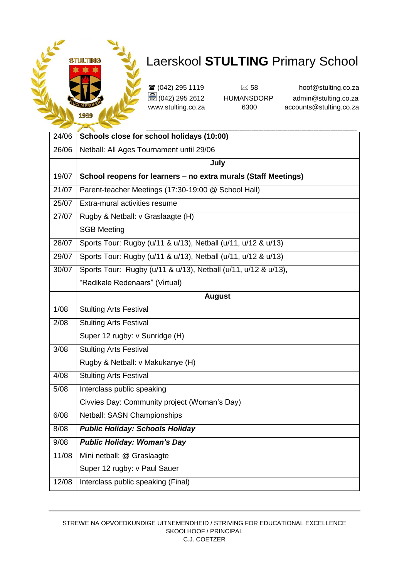

| 24/06 | Schools close for school holidays (10:00)                      |
|-------|----------------------------------------------------------------|
| 26/06 | Netball: All Ages Tournament until 29/06                       |
|       | July                                                           |
| 19/07 | School reopens for learners - no extra murals (Staff Meetings) |
| 21/07 | Parent-teacher Meetings (17:30-19:00 @ School Hall)            |
| 25/07 | Extra-mural activities resume                                  |
| 27/07 | Rugby & Netball: v Graslaagte (H)                              |
|       | <b>SGB Meeting</b>                                             |
| 28/07 | Sports Tour: Rugby (u/11 & u/13), Netball (u/11, u/12 & u/13)  |
| 29/07 | Sports Tour: Rugby (u/11 & u/13), Netball (u/11, u/12 & u/13)  |
| 30/07 | Sports Tour: Rugby (u/11 & u/13), Netball (u/11, u/12 & u/13), |
|       | "Radikale Redenaars" (Virtual)                                 |
|       | <b>August</b>                                                  |
| 1/08  | <b>Stulting Arts Festival</b>                                  |
| 2/08  | <b>Stulting Arts Festival</b>                                  |
|       | Super 12 rugby: v Sunridge (H)                                 |
| 3/08  | <b>Stulting Arts Festival</b>                                  |
|       | Rugby & Netball: v Makukanye (H)                               |
| 4/08  | <b>Stulting Arts Festival</b>                                  |
| 5/08  | Interclass public speaking                                     |
|       | Civvies Day: Community project (Woman's Day)                   |
| 6/08  | Netball: SASN Championships                                    |
| 8/08  | <b>Public Holiday: Schools Holiday</b>                         |
| 9/08  | <b>Public Holiday: Woman's Day</b>                             |
| 11/08 | Mini netball: @ Graslaagte                                     |
|       | Super 12 rugby: v Paul Sauer                                   |
| 12/08 | Interclass public speaking (Final)                             |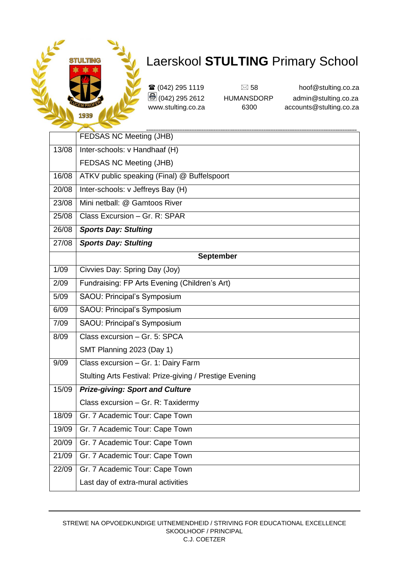

| _     |                                                         |
|-------|---------------------------------------------------------|
|       | FEDSAS NC Meeting (JHB)                                 |
| 13/08 | Inter-schools: v Handhaaf (H)                           |
|       | FEDSAS NC Meeting (JHB)                                 |
| 16/08 | ATKV public speaking (Final) @ Buffelspoort             |
| 20/08 | Inter-schools: v Jeffreys Bay (H)                       |
| 23/08 | Mini netball: @ Gamtoos River                           |
| 25/08 | Class Excursion - Gr. R: SPAR                           |
| 26/08 | <b>Sports Day: Stulting</b>                             |
| 27/08 | <b>Sports Day: Stulting</b>                             |
|       | <b>September</b>                                        |
| 1/09  | Civvies Day: Spring Day (Joy)                           |
| 2/09  | Fundraising: FP Arts Evening (Children's Art)           |
| 5/09  | SAOU: Principal's Symposium                             |
| 6/09  | SAOU: Principal's Symposium                             |
| 7/09  | SAOU: Principal's Symposium                             |
| 8/09  | Class excursion - Gr. 5: SPCA                           |
|       | SMT Planning 2023 (Day 1)                               |
| 9/09  | Class excursion - Gr. 1: Dairy Farm                     |
|       | Stulting Arts Festival: Prize-giving / Prestige Evening |
| 15/09 | <b>Prize-giving: Sport and Culture</b>                  |
|       | Class excursion - Gr. R: Taxidermy                      |
| 18/09 | Gr. 7 Academic Tour: Cape Town                          |
| 19/09 | Gr. 7 Academic Tour: Cape Town                          |
| 20/09 | Gr. 7 Academic Tour: Cape Town                          |
| 21/09 | Gr. 7 Academic Tour: Cape Town                          |
| 22/09 | Gr. 7 Academic Tour: Cape Town                          |
|       | Last day of extra-mural activities                      |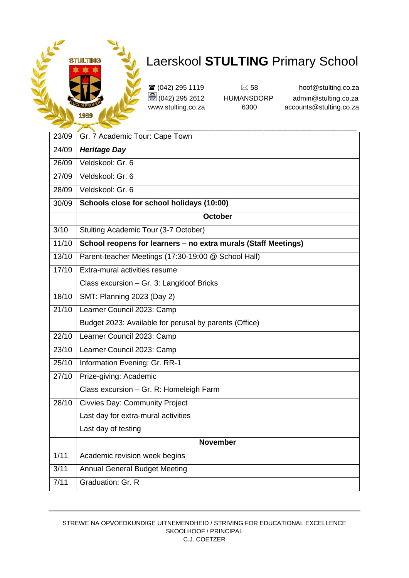

| 23/09 | Gr. 7 Academic Tour: Cape Town                                 |
|-------|----------------------------------------------------------------|
| 24/09 | <b>Heritage Day</b>                                            |
| 26/09 | Veldskool: Gr. 6                                               |
| 27/09 | Veldskool: Gr. 6                                               |
| 28/09 | Veldskool: Gr. 6                                               |
| 30/09 | Schools close for school holidays (10:00)                      |
|       | <b>October</b>                                                 |
| 3/10  | Stulting Academic Tour (3-7 October)                           |
| 11/10 | School reopens for learners - no extra murals (Staff Meetings) |
| 13/10 | Parent-teacher Meetings (17:30-19:00 @ School Hall)            |
| 17/10 | Extra-mural activities resume                                  |
|       | Class excursion - Gr. 3: Langkloof Bricks                      |
| 18/10 | SMT: Planning 2023 (Day 2)                                     |
| 21/10 | Learner Council 2023: Camp                                     |
|       | Budget 2023: Available for perusal by parents (Office)         |
| 22/10 | Learner Council 2023: Camp                                     |
| 23/10 | Learner Council 2023: Camp                                     |
| 25/10 | Information Evening: Gr. RR-1                                  |
| 27/10 | Prize-giving: Academic                                         |
|       | Class excursion - Gr. R: Homeleigh Farm                        |
| 28/10 | <b>Civvies Day: Community Project</b>                          |
|       | Last day for extra-mural activities                            |
|       | Last day of testing                                            |
|       | <b>November</b>                                                |
| 1/11  | Academic revision week begins                                  |
| 3/11  | <b>Annual General Budget Meeting</b>                           |
| 7/11  | Graduation: Gr. R                                              |